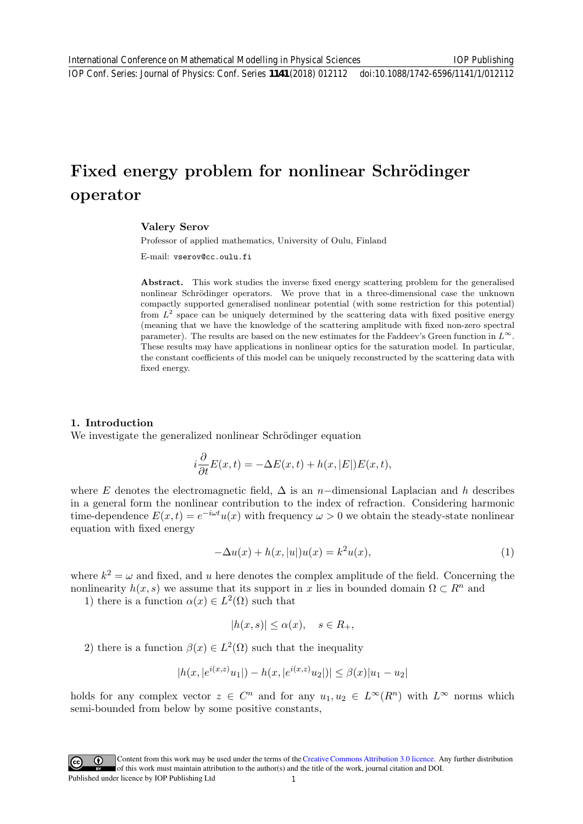# Fixed energy problem for nonlinear Schrödinger operator

## Valery Serov

Professor of applied mathematics, University of Oulu, Finland

E-mail: vserov@cc.oulu.fi

Abstract. This work studies the inverse fixed energy scattering problem for the generalised nonlinear Schrödinger operators. We prove that in a three-dimensional case the unknown compactly supported generalised nonlinear potential (with some restriction for this potential) from  $L^2$  space can be uniquely determined by the scattering data with fixed positive energy (meaning that we have the knowledge of the scattering amplitude with fixed non-zero spectral parameter). The results are based on the new estimates for the Faddeev's Green function in  $L^{\infty}$ . These results may have applications in nonlinear optics for the saturation model. In particular, the constant coefficients of this model can be uniquely reconstructed by the scattering data with fixed energy.

## 1. Introduction

We investigate the generalized nonlinear Schrödinger equation

$$
i\frac{\partial}{\partial t}E(x,t) = -\Delta E(x,t) + h(x,|E|)E(x,t),
$$

where E denotes the electromagnetic field,  $\Delta$  is an n-dimensional Laplacian and h describes in a general form the nonlinear contribution to the index of refraction. Considering harmonic time-dependence  $E(x,t) = e^{-i\omega t}u(x)$  with frequency  $\omega > 0$  we obtain the steady-state nonlinear equation with fixed energy

$$
-\Delta u(x) + h(x, |u|)u(x) = k^2 u(x),\tag{1}
$$

where  $k^2 = \omega$  and fixed, and u here denotes the complex amplitude of the field. Concerning the nonlinearity  $h(x, s)$  we assume that its support in x lies in bounded domain  $\Omega \subset \mathbb{R}^n$  and

1) there is a function  $\alpha(x) \in L^2(\Omega)$  such that

$$
|h(x,s)| \le \alpha(x), \quad s \in R_+,
$$

2) there is a function  $\beta(x) \in L^2(\Omega)$  such that the inequality

$$
|h(x,|e^{i(x,z)}u_1|) - h(x,|e^{i(x,z)}u_2|)| \leq \beta(x)|u_1 - u_2|
$$

holds for any complex vector  $z \in C^n$  and for any  $u_1, u_2 \in L^{\infty}(R^n)$  with  $L^{\infty}$  norms which semi-bounded from below by some positive constants,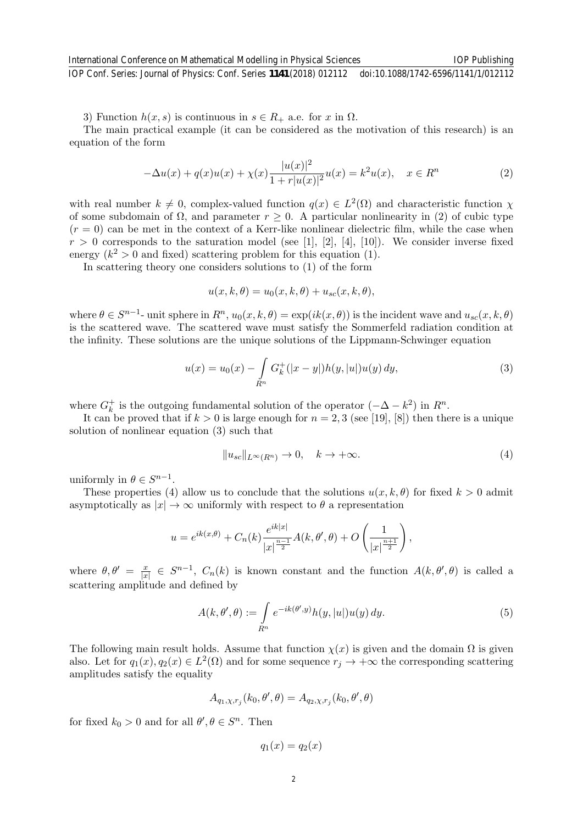3) Function  $h(x, s)$  is continuous in  $s \in R_+$  a.e. for x in  $\Omega$ .

The main practical example (it can be considered as the motivation of this research) is an equation of the form

$$
-\Delta u(x) + q(x)u(x) + \chi(x)\frac{|u(x)|^2}{1+r|u(x)|^2}u(x) = k^2u(x), \quad x \in R^n
$$
\n(2)

with real number  $k \neq 0$ , complex-valued function  $q(x) \in L^2(\Omega)$  and characteristic function  $\chi$ of some subdomain of  $\Omega$ , and parameter  $r \geq 0$ . A particular nonlinearity in (2) of cubic type  $(r = 0)$  can be met in the context of a Kerr-like nonlinear dielectric film, while the case when  $r > 0$  corresponds to the saturation model (see [1], [2], [4], [10]). We consider inverse fixed energy  $(k^2 > 0$  and fixed) scattering problem for this equation (1).

In scattering theory one considers solutions to (1) of the form

$$
u(x, k, \theta) = u_0(x, k, \theta) + u_{sc}(x, k, \theta),
$$

where  $\theta \in S^{n-1}$ - unit sphere in  $R^n$ ,  $u_0(x, k, \theta) = \exp(ik(x, \theta))$  is the incident wave and  $u_{sc}(x, k, \theta)$ is the scattered wave. The scattered wave must satisfy the Sommerfeld radiation condition at the infinity. These solutions are the unique solutions of the Lippmann-Schwinger equation

$$
u(x) = u_0(x) - \int_{R^n} G_k^+(|x-y|)h(y,|u|)u(y) dy,
$$
\n(3)

where  $G_k^+$  is the outgoing fundamental solution of the operator  $(-\Delta - k^2)$  in  $R^n$ .

It can be proved that if  $k > 0$  is large enough for  $n = 2, 3$  (see [19], [8]) then there is a unique solution of nonlinear equation (3) such that

$$
||u_{sc}||_{L^{\infty}(R^n)} \to 0, \quad k \to +\infty.
$$
\n(4)

uniformly in  $\theta \in S^{n-1}$ .

These properties (4) allow us to conclude that the solutions  $u(x, k, \theta)$  for fixed  $k > 0$  admit asymptotically as  $|x| \to \infty$  uniformly with respect to  $\theta$  a representation

$$
u = e^{ik(x,\theta)} + C_n(k) \frac{e^{ik|x|}}{|x|^{\frac{n-1}{2}}} A(k,\theta',\theta) + O\left(\frac{1}{|x|^{\frac{n+1}{2}}}\right),\,
$$

where  $\theta, \theta' = \frac{x}{|x|}$  $\frac{x}{|x|} \in S^{n-1}$ ,  $C_n(k)$  is known constant and the function  $A(k, \theta', \theta)$  is called a scattering amplitude and defined by

$$
A(k, \theta', \theta) := \int_{R^n} e^{-ik(\theta', y)} h(y, |u|) u(y) dy.
$$
 (5)

The following main result holds. Assume that function  $\chi(x)$  is given and the domain  $\Omega$  is given also. Let for  $q_1(x), q_2(x) \in L^2(\Omega)$  and for some sequence  $r_j \to +\infty$  the corresponding scattering amplitudes satisfy the equality

$$
A_{q_1,\chi,r_j}(k_0,\theta',\theta) = A_{q_2,\chi,r_j}(k_0,\theta',\theta)
$$

for fixed  $k_0 > 0$  and for all  $\theta, \theta \in S^n$ . Then

$$
q_1(x) = q_2(x)
$$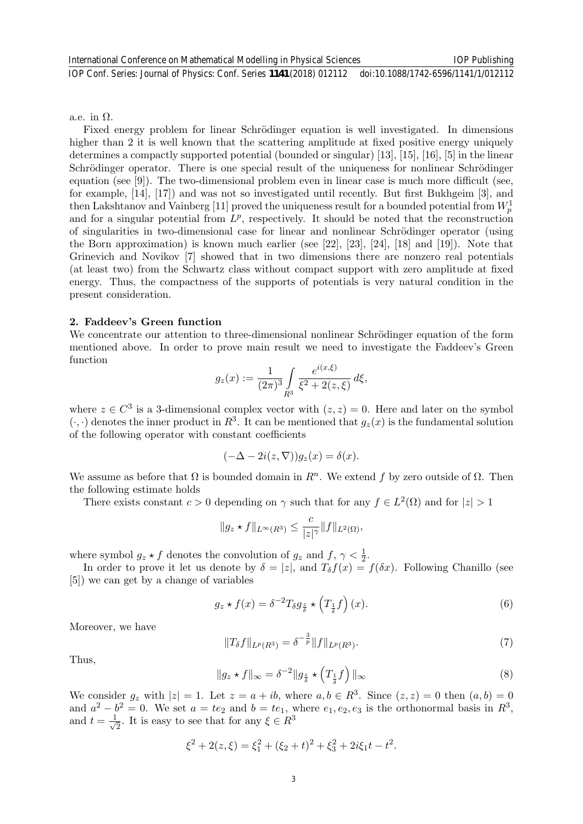a.e. in  $\Omega$ .

Fixed energy problem for linear Schrödinger equation is well investigated. In dimensions higher than 2 it is well known that the scattering amplitude at fixed positive energy uniquely determines a compactly supported potential (bounded or singular) [13], [15], [16], [5] in the linear Schrödinger operator. There is one special result of the uniqueness for nonlinear Schrödinger equation (see [9]). The two-dimensional problem even in linear case is much more difficult (see, for example, [14], [17]) and was not so investigated until recently. But first Bukhgeim [3], and then Lakshtanov and Vainberg [11] proved the uniqueness result for a bounded potential from  $W_p^1$ and for a singular potential from  $L^p$ , respectively. It should be noted that the reconstruction of singularities in two-dimensional case for linear and nonlinear Schrödinger operator (using the Born approximation) is known much earlier (see [22], [23], [24], [18] and [19]). Note that Grinevich and Novikov [7] showed that in two dimensions there are nonzero real potentials (at least two) from the Schwartz class without compact support with zero amplitude at fixed energy. Thus, the compactness of the supports of potentials is very natural condition in the present consideration.

#### 2. Faddeev's Green function

We concentrate our attention to three-dimensional nonlinear Schrödinger equation of the form mentioned above. In order to prove main result we need to investigate the Faddeev's Green function

$$
g_z(x) := \frac{1}{(2\pi)^3} \int\limits_{R^3} \frac{e^{i(x,\xi)}}{\xi^2 + 2(z,\xi)} d\xi,
$$

where  $z \in C^3$  is a 3-dimensional complex vector with  $(z, z) = 0$ . Here and later on the symbol  $(\cdot, \cdot)$  denotes the inner product in  $R^3$ . It can be mentioned that  $g_z(x)$  is the fundamental solution of the following operator with constant coefficients

$$
(-\Delta - 2i(z, \nabla))g_z(x) = \delta(x).
$$

We assume as before that  $\Omega$  is bounded domain in  $R<sup>n</sup>$ . We extend f by zero outside of  $\Omega$ . Then the following estimate holds

There exists constant  $c > 0$  depending on  $\gamma$  such that for any  $f \in L^2(\Omega)$  and for  $|z| > 1$ 

$$
||g_z \star f||_{L^{\infty}(R^3)} \leq \frac{c}{|z|^{\gamma}} ||f||_{L^2(\Omega)},
$$

where symbol  $g_z \star f$  denotes the convolution of  $g_z$  and  $f, \gamma < \frac{1}{2}$ .

In order to prove it let us denote by  $\delta = |z|$ , and  $T_{\delta} f(x) = f(\delta x)$ . Following Chanillo (see [5]) we can get by a change of variables

$$
g_z \star f(x) = \delta^{-2} T_{\delta} g_{\frac{z}{\delta}} \star \left(T_{\frac{1}{\delta}} f\right)(x). \tag{6}
$$

Moreover, we have

$$
||T_{\delta}f||_{L^{p}(R^{3})} = \delta^{-\frac{3}{p}}||f||_{L^{p}(R^{3})}.
$$
\n(7)

Thus,

$$
||g_z \star f||_{\infty} = \delta^{-2} ||g_{\frac{z}{\delta}} \star (T_{\frac{1}{\delta}} f) ||_{\infty}
$$
\n(8)

We consider  $g_z$  with  $|z|=1$ . Let  $z=a+ib$ , where  $a, b \in \mathbb{R}^3$ . Since  $(z, z)=0$  then  $(a, b)=0$ and  $a^2 - b^2 = 0$ . We set  $a = te_2$  and  $b = te_1$ , where  $e_1, e_2, e_3$  is the orthonormal basis in  $R^3$ , and  $t = \frac{1}{\sqrt{2}}$  $\overline{z}$ . It is easy to see that for any  $\xi \in \mathbb{R}^3$ 

$$
\xi^2 + 2(z, \xi) = \xi_1^2 + (\xi_2 + t)^2 + \xi_3^2 + 2i\xi_1t - t^2.
$$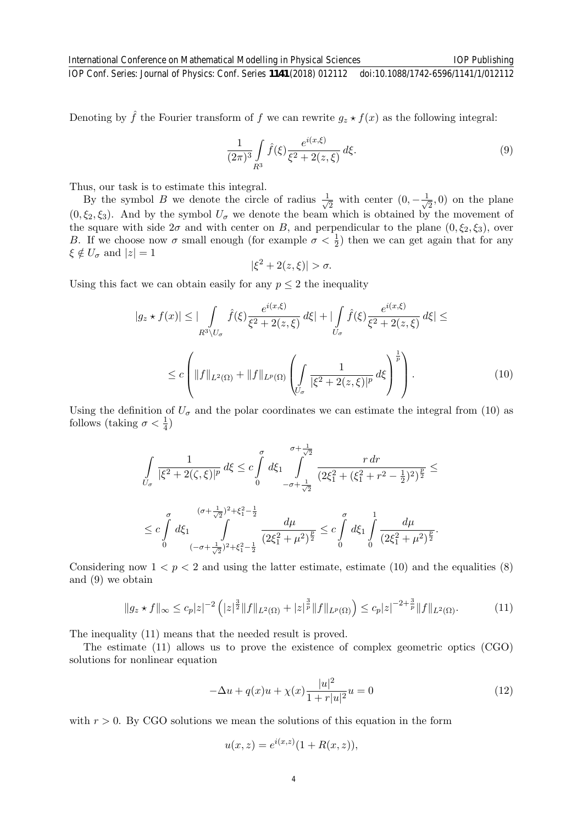Denoting by  $\hat{f}$  the Fourier transform of f we can rewrite  $g_z \star f(x)$  as the following integral:

$$
\frac{1}{(2\pi)^3} \int\limits_{R^3} \hat{f}(\xi) \frac{e^{i(x,\xi)}}{\xi^2 + 2(z,\xi)} d\xi.
$$
 (9)

IOP Publishing

Thus, our task is to estimate this integral.

By the symbol B we denote the circle of radius  $\frac{1}{\sqrt{2}}$  $\frac{1}{2}$  with center  $(0, -\frac{1}{\sqrt{2}})$  $(\frac{1}{2}, 0)$  on the plane  $(0, \xi_2, \xi_3)$ . And by the symbol  $U_{\sigma}$  we denote the beam which is obtained by the movement of the square with side  $2\sigma$  and with center on B, and perpendicular to the plane  $(0, \xi_2, \xi_3)$ , over B. If we choose now  $\sigma$  small enough (for example  $\sigma < \frac{1}{2}$ ) then we can get again that for any  $\xi \notin U_{\sigma}$  and  $|z|=1$ 

$$
|\xi^2 + 2(z,\xi)| > \sigma.
$$

Using this fact we can obtain easily for any  $p \leq 2$  the inequality

$$
|g_z \star f(x)| \leq |\int_{R^3 \setminus U_{\sigma}} \hat{f}(\xi) \frac{e^{i(x,\xi)}}{\xi^2 + 2(z,\xi)} d\xi| + |\int_{U_{\sigma}} \hat{f}(\xi) \frac{e^{i(x,\xi)}}{\xi^2 + 2(z,\xi)} d\xi| \leq
$$
  

$$
\leq c \left( \|f\|_{L^2(\Omega)} + \|f\|_{L^p(\Omega)} \left( \int_{U_{\sigma}} \frac{1}{|\xi^2 + 2(z,\xi)|^p} d\xi \right)^{\frac{1}{p}} \right).
$$
 (10)

Using the definition of  $U_{\sigma}$  and the polar coordinates we can estimate the integral from (10) as follows (taking  $\sigma < \frac{1}{4}$ )

$$
\begin{split} & \int\limits_{U_{\sigma}} \frac{1}{|\xi^2 + 2(\zeta,\xi)|^p} \, d\xi \leq c \int\limits_0^{\sigma} d\xi_1 \int\limits_{-\sigma + \frac{1}{\sqrt{2}}}^{\sigma + \frac{1}{\sqrt{2}}} \frac{r \, dr}{\left(2\xi_1^2 + (\xi_1^2 + r^2 - \frac{1}{2})^2\right)^{\frac{p}{2}}} \leq \\ & \leq c \int\limits_0^{\sigma} d\xi_1 \int\limits_{(-\sigma + \frac{1}{\sqrt{2}})^2 + \xi_1^2 - \frac{1}{2}}^{\sigma + \frac{1}{\sqrt{2}}} \frac{d\mu}{\left(2\xi_1^2 + \mu^2\right)^{\frac{p}{2}}} \leq c \int\limits_0^{\sigma} d\xi_1 \int\limits_0^1 \frac{d\mu}{\left(2\xi_1^2 + \mu^2\right)^{\frac{p}{2}}} . \end{split}
$$

Considering now  $1 < p < 2$  and using the latter estimate, estimate (10) and the equalities (8) and (9) we obtain

$$
||g_z \star f||_{\infty} \leq c_p |z|^{-2} \left( |z|^{\frac{3}{2}} \|f\|_{L^2(\Omega)} + |z|^{\frac{3}{p}} \|f\|_{L^p(\Omega)} \right) \leq c_p |z|^{-2+\frac{3}{p}} \|f\|_{L^2(\Omega)}.
$$
 (11)

The inequality (11) means that the needed result is proved.

The estimate (11) allows us to prove the existence of complex geometric optics (CGO) solutions for nonlinear equation

$$
-\Delta u + q(x)u + \chi(x)\frac{|u|^2}{1+r|u|^2}u = 0
$$
\n(12)

with  $r > 0$ . By CGO solutions we mean the solutions of this equation in the form

$$
u(x, z) = e^{i(x, z)} (1 + R(x, z)),
$$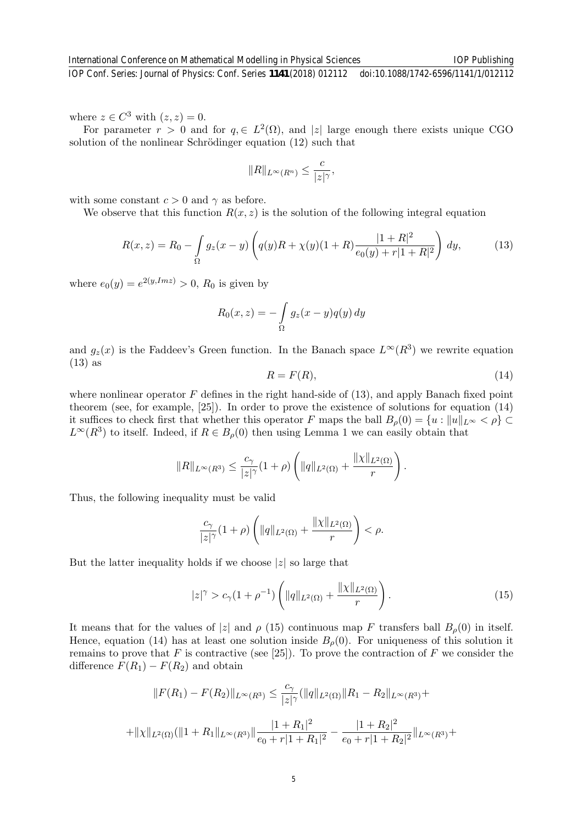where  $z \in C^3$  with  $(z, z) = 0$ .

For parameter  $r > 0$  and for  $q \in L^2(\Omega)$ , and |z| large enough there exists unique CGO solution of the nonlinear Schrödinger equation  $(12)$  such that

$$
||R||_{L^{\infty}(R^n)} \leq \frac{c}{|z|^{\gamma}},
$$

with some constant  $c > 0$  and  $\gamma$  as before.

We observe that this function  $R(x, z)$  is the solution of the following integral equation

$$
R(x,z) = R_0 - \int_{\Omega} g_z(x-y) \left( q(y)R + \chi(y)(1+R) \frac{|1+R|^2}{e_0(y)+r|1+R|^2} \right) dy,
$$
 (13)

where  $e_0(y) = e^{2(y, Imz)} > 0$ ,  $R_0$  is given by

$$
R_0(x, z) = -\int_{\Omega} g_z(x - y)q(y) dy
$$

and  $g_z(x)$  is the Faddeev's Green function. In the Banach space  $L^{\infty}(R^3)$  we rewrite equation (13) as

$$
R = F(R),\tag{14}
$$

where nonlinear operator  $F$  defines in the right hand-side of (13), and apply Banach fixed point theorem (see, for example, [25]). In order to prove the existence of solutions for equation (14) it suffices to check first that whether this operator F maps the ball  $B_{\rho}(0) = \{u : ||u||_{L^{\infty}} < \rho\} \subset$  $L^{\infty}(R^3)$  to itself. Indeed, if  $R \in B_{\rho}(0)$  then using Lemma 1 we can easily obtain that

$$
||R||_{L^{\infty}(R^3)} \leq \frac{c_{\gamma}}{|z|^{\gamma}}(1+\rho)\left(||q||_{L^2(\Omega)} + \frac{||\chi||_{L^2(\Omega)}}{r}\right).
$$

Thus, the following inequality must be valid

$$
\frac{c_{\gamma}}{|z|^{\gamma}}(1+\rho)\left(\|q\|_{L^{2}(\Omega)}+\frac{\|\chi\|_{L^{2}(\Omega)}}{r}\right)<\rho.
$$

But the latter inequality holds if we choose  $|z|$  so large that

$$
|z|^{\gamma} > c_{\gamma}(1+\rho^{-1}) \left( \|q\|_{L^{2}(\Omega)} + \frac{\|\chi\|_{L^{2}(\Omega)}}{r} \right).
$$
 (15)

It means that for the values of |z| and  $\rho$  (15) continuous map F transfers ball  $B<sub>o</sub>(0)$  in itself. Hence, equation (14) has at least one solution inside  $B_{\rho}(0)$ . For uniqueness of this solution it remains to prove that F is contractive (see [25]). To prove the contraction of F we consider the difference  $F(R_1) - F(R_2)$  and obtain

$$
||F(R_1) - F(R_2)||_{L^{\infty}(R^3)} \le \frac{c_{\gamma}}{|z|^{\gamma}} (||q||_{L^2(\Omega)} ||R_1 - R_2||_{L^{\infty}(R^3)} +
$$
  
+  $||\chi||_{L^2(\Omega)} (||1 + R_1||_{L^{\infty}(R^3)} ||\frac{|1 + R_1|^2}{e_0 + r|1 + R_1|^2} - \frac{|1 + R_2|^2}{e_0 + r|1 + R_2|^2} ||_{L^{\infty}(R^3)} +$ 

IOP Publishing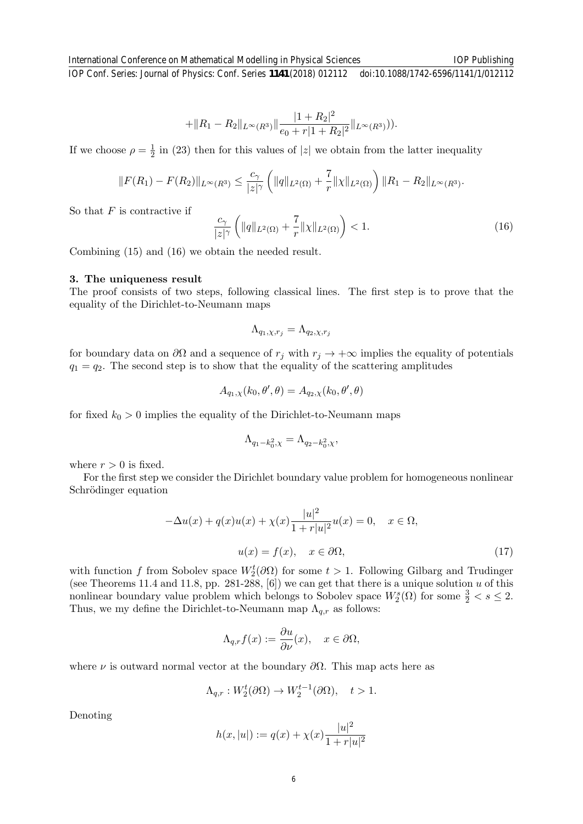$$
+\|R_1 - R_2\|_{L^{\infty}(R^3)} \|\frac{|1+R_2|^2}{e_0 + r|1 + R_2|^2} \|_{L^{\infty}(R^3)}).
$$

If we choose  $\rho = \frac{1}{2}$  $\frac{1}{2}$  in (23) then for this values of |z| we obtain from the latter inequality

$$
||F(R_1) - F(R_2)||_{L^{\infty}(R^3)} \leq \frac{c_{\gamma}}{|z|^{\gamma}} \left(||q||_{L^2(\Omega)} + \frac{7}{r} ||\chi||_{L^2(\Omega)}\right) ||R_1 - R_2||_{L^{\infty}(R^3)}.
$$

So that  $F$  is contractive if

$$
\frac{c_{\gamma}}{|z|^{\gamma}} \left( \|q\|_{L^{2}(\Omega)} + \frac{7}{r} \| \chi \|_{L^{2}(\Omega)} \right) < 1. \tag{16}
$$

Combining (15) and (16) we obtain the needed result.

#### 3. The uniqueness result

The proof consists of two steps, following classical lines. The first step is to prove that the equality of the Dirichlet-to-Neumann maps

$$
\Lambda_{q_1,\chi,r_j} = \Lambda_{q_2,\chi,r_j}
$$

for boundary data on  $\partial\Omega$  and a sequence of  $r_j$  with  $r_j \to +\infty$  implies the equality of potentials  $q_1 = q_2$ . The second step is to show that the equality of the scattering amplitudes

$$
A_{q_1,\chi}(k_0,\theta',\theta) = A_{q_2,\chi}(k_0,\theta',\theta)
$$

for fixed  $k_0 > 0$  implies the equality of the Dirichlet-to-Neumann maps

$$
\Lambda_{q_1-k_0^2,\chi}=\Lambda_{q_2-k_0^2,\chi},
$$

where  $r > 0$  is fixed.

For the first step we consider the Dirichlet boundary value problem for homogeneous nonlinear Schrödinger equation

$$
-\Delta u(x) + q(x)u(x) + \chi(x)\frac{|u|^2}{1+r|u|^2}u(x) = 0, \quad x \in \Omega,
$$
  

$$
u(x) = f(x), \quad x \in \partial\Omega,
$$
 (17)

with function f from Sobolev space  $W_2^t(\partial\Omega)$  for some  $t > 1$ . Following Gilbarg and Trudinger (see Theorems 11.4 and 11.8, pp. 281-288,  $[6]$ ) we can get that there is a unique solution u of this nonlinear boundary value problem which belongs to Sobolev space  $W_2^s(\Omega)$  for some  $\frac{3}{2} < s \leq 2$ . Thus, we my define the Dirichlet-to-Neumann map  $\Lambda_{q,r}$  as follows:

$$
\Lambda_{q,r}f(x) := \frac{\partial u}{\partial \nu}(x), \quad x \in \partial \Omega,
$$

where  $\nu$  is outward normal vector at the boundary  $\partial\Omega$ . This map acts here as

$$
\Lambda_{q,r}: W_2^t(\partial\Omega) \to W_2^{t-1}(\partial\Omega), \quad t > 1.
$$

Denoting

$$
h(x, |u|) := q(x) + \chi(x) \frac{|u|^2}{1 + r|u|^2}
$$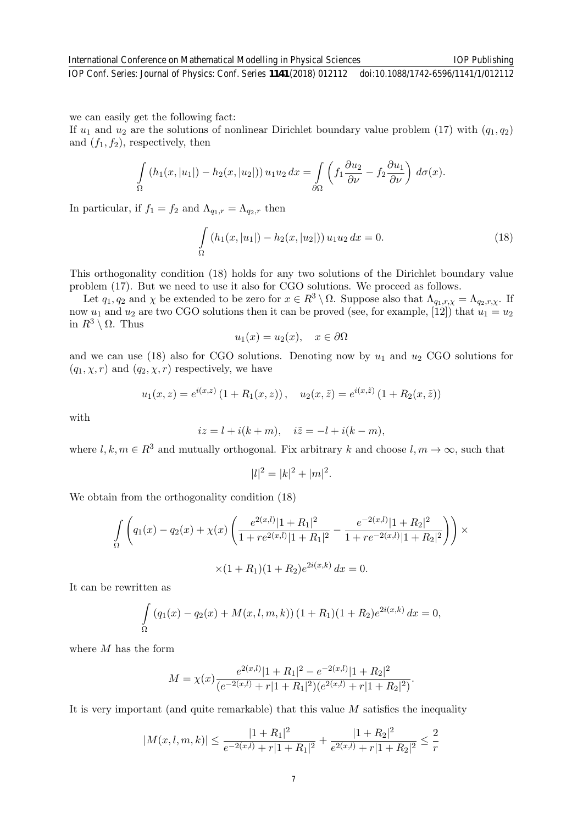we can easily get the following fact:

If  $u_1$  and  $u_2$  are the solutions of nonlinear Dirichlet boundary value problem (17) with  $(q_1, q_2)$ and  $(f_1, f_2)$ , respectively, then

$$
\int_{\Omega} (h_1(x, |u_1|) - h_2(x, |u_2|)) u_1 u_2 dx = \int_{\partial \Omega} \left( f_1 \frac{\partial u_2}{\partial \nu} - f_2 \frac{\partial u_1}{\partial \nu} \right) d\sigma(x).
$$

In particular, if  $f_1 = f_2$  and  $\Lambda_{q_1,r} = \Lambda_{q_2,r}$  then

$$
\int_{\Omega} (h_1(x, |u_1|) - h_2(x, |u_2|)) u_1 u_2 dx = 0.
$$
\n(18)

This orthogonality condition (18) holds for any two solutions of the Dirichlet boundary value problem (17). But we need to use it also for CGO solutions. We proceed as follows.

Let  $q_1, q_2$  and  $\chi$  be extended to be zero for  $x \in R^3 \setminus \Omega$ . Suppose also that  $\Lambda_{q_1,r,\chi} = \Lambda_{q_2,r,\chi}$ . If now  $u_1$  and  $u_2$  are two CGO solutions then it can be proved (see, for example, [12]) that  $u_1 = u_2$ in  $R^3 \setminus \Omega$ . Thus

$$
u_1(x) = u_2(x), \quad x \in \partial \Omega
$$

and we can use (18) also for CGO solutions. Denoting now by  $u_1$  and  $u_2$  CGO solutions for  $(q_1, \chi, r)$  and  $(q_2, \chi, r)$  respectively, we have

$$
u_1(x, z) = e^{i(x, z)} (1 + R_1(x, z)), \quad u_2(x, \tilde{z}) = e^{i(x, \tilde{z})} (1 + R_2(x, \tilde{z}))
$$

with

$$
iz = l + i(k + m), \quad i\tilde{z} = -l + i(k - m),
$$

where  $l, k, m \in \mathbb{R}^3$  and mutually orthogonal. Fix arbitrary k and choose  $l, m \to \infty$ , such that

$$
|l|^2 = |k|^2 + |m|^2.
$$

We obtain from the orthogonality condition (18)

$$
\int_{\Omega} \left( q_1(x) - q_2(x) + \chi(x) \left( \frac{e^{2(x,l)} |1 + R_1|^2}{1 + re^{2(x,l)} |1 + R_1|^2} - \frac{e^{-2(x,l)} |1 + R_2|^2}{1 + re^{-2(x,l)} |1 + R_2|^2} \right) \right) \times \left( 1 + R_1 \right) (1 + R_2) e^{2i(x,k)} dx = 0.
$$

It can be rewritten as

$$
\int_{\Omega} (q_1(x) - q_2(x) + M(x, l, m, k)) (1 + R_1)(1 + R_2)e^{2i(x, k)} dx = 0,
$$

where  $M$  has the form

$$
M = \chi(x) \frac{e^{2(x,l)}|1 + R_1|^2 - e^{-2(x,l)}|1 + R_2|^2}{(e^{-2(x,l)} + r|1 + R_1|^2)(e^{2(x,l)} + r|1 + R_2|^2)}.
$$

It is very important (and quite remarkable) that this value M satisfies the inequality

$$
|M(x, l, m, k)| \le \frac{|1 + R_1|^2}{e^{-2(x, l)} + r|1 + R_1|^2} + \frac{|1 + R_2|^2}{e^{2(x, l)} + r|1 + R_2|^2} \le \frac{2}{r}
$$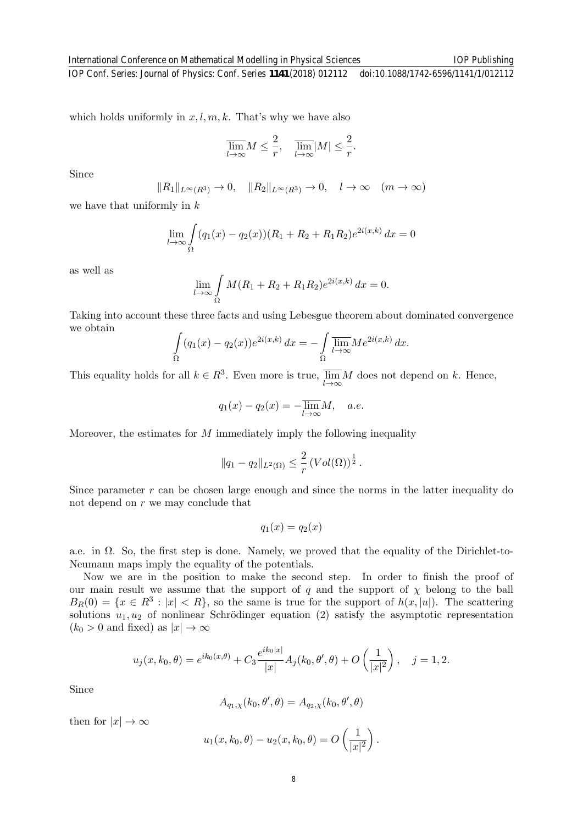IOP Publishing

which holds uniformly in  $x, l, m, k$ . That's why we have also

$$
\overline{\lim}_{l \to \infty} M \le \frac{2}{r}, \quad \overline{\lim}_{l \to \infty} |M| \le \frac{2}{r}.
$$

Since

$$
||R_1||_{L^{\infty}(R^3)} \to 0, \quad ||R_2||_{L^{\infty}(R^3)} \to 0, \quad l \to \infty \quad (m \to \infty)
$$

we have that uniformly in  $k$ 

$$
\lim_{l \to \infty} \int_{\Omega} (q_1(x) - q_2(x))(R_1 + R_2 + R_1 R_2)e^{2i(x,k)} dx = 0
$$

as well as

$$
\lim_{l \to \infty} \int_{\Omega} M(R_1 + R_2 + R_1 R_2) e^{2i(x,k)} dx = 0.
$$

Taking into account these three facts and using Lebesgue theorem about dominated convergence we obtain

$$
\int_{\Omega} (q_1(x) - q_2(x))e^{2i(x,k)} dx = -\int_{\Omega} \overline{\lim_{l \to \infty}} Me^{2i(x,k)} dx.
$$

This equality holds for all  $k \in R^3$ . Even more is true,  $\overline{\lim}_{l \to \infty} M$  does not depend on k. Hence,

$$
q_1(x) - q_2(x) = -\overline{\lim_{l \to \infty}} M, \quad a.e.
$$

Moreover, the estimates for  $M$  immediately imply the following inequality

$$
||q_1 - q_2||_{L^2(\Omega)} \leq \frac{2}{r} \left( Vol(\Omega) \right)^{\frac{1}{2}}.
$$

Since parameter  $r$  can be chosen large enough and since the norms in the latter inequality do not depend on  $r$  we may conclude that

$$
q_1(x) = q_2(x)
$$

a.e. in Ω. So, the first step is done. Namely, we proved that the equality of the Dirichlet-to-Neumann maps imply the equality of the potentials.

Now we are in the position to make the second step. In order to finish the proof of our main result we assume that the support of q and the support of  $\chi$  belong to the ball  $B_R(0) = \{x \in R^3 : |x| < R\}$ , so the same is true for the support of  $h(x, |u|)$ . The scattering solutions  $u_1, u_2$  of nonlinear Schrödinger equation (2) satisfy the asymptotic representation  $(k_0 > 0$  and fixed) as  $|x| \to \infty$ 

$$
u_j(x, k_0, \theta) = e^{ik_0(x, \theta)} + C_3 \frac{e^{ik_0|x|}}{|x|} A_j(k_0, \theta', \theta) + O\left(\frac{1}{|x|^2}\right), \quad j = 1, 2.
$$

Since

$$
A_{q_1,\chi}(k_0,\theta',\theta) = A_{q_2,\chi}(k_0,\theta',\theta)
$$

then for  $|x| \to \infty$ 

$$
u_1(x, k_0, \theta) - u_2(x, k_0, \theta) = O\left(\frac{1}{|x|^2}\right).
$$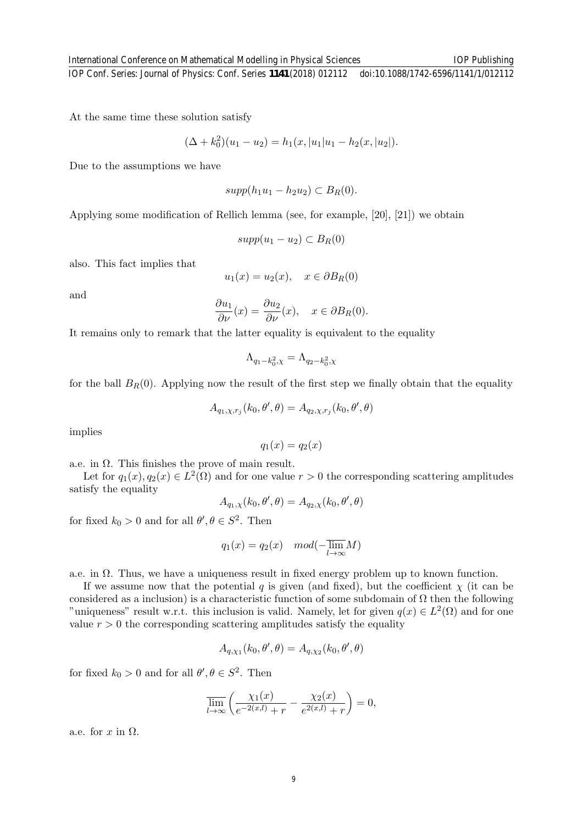At the same time these solution satisfy

$$
(\Delta + k_0^2)(u_1 - u_2) = h_1(x, |u_1|u_1 - h_2(x, |u_2|).
$$

Due to the assumptions we have

$$
supp(h_1u_1 - h_2u_2) \subset B_R(0).
$$

Applying some modification of Rellich lemma (see, for example, [20], [21]) we obtain

$$
supp(u_1 - u_2) \subset B_R(0)
$$

also. This fact implies that

$$
u_1(x) = u_2(x), \quad x \in \partial B_R(0)
$$

and

$$
\frac{\partial u_1}{\partial \nu}(x) = \frac{\partial u_2}{\partial \nu}(x), \quad x \in \partial B_R(0).
$$

It remains only to remark that the latter equality is equivalent to the equality

$$
\Lambda_{q_1-k_0^2,\chi}=\Lambda_{q_2-k_0^2,\chi}
$$

for the ball  $B_R(0)$ . Applying now the result of the first step we finally obtain that the equality

$$
A_{q_1,\chi,r_j}(k_0,\theta',\theta) = A_{q_2,\chi,r_j}(k_0,\theta',\theta)
$$

implies

$$
q_1(x) = q_2(x)
$$

a.e. in  $\Omega$ . This finishes the prove of main result.

Let for  $q_1(x), q_2(x) \in L^2(\Omega)$  and for one value  $r > 0$  the corresponding scattering amplitudes satisfy the equality

$$
A_{q_1,\chi}(k_0, \theta', \theta) = A_{q_2,\chi}(k_0, \theta', \theta)
$$

for fixed  $k_0 > 0$  and for all  $\theta, \theta \in S^2$ . Then

$$
q_1(x) = q_2(x) \quad mod(-\overline{\lim}_{l \to \infty} M)
$$

a.e. in  $\Omega$ . Thus, we have a uniqueness result in fixed energy problem up to known function.

If we assume now that the potential q is given (and fixed), but the coefficient  $\chi$  (it can be considered as a inclusion) is a characteristic function of some subdomain of  $\Omega$  then the following "uniqueness" result w.r.t. this inclusion is valid. Namely, let for given  $q(x) \in L^2(\Omega)$  and for one value  $r > 0$  the corresponding scattering amplitudes satisfy the equality

$$
A_{q,\chi_1}(k_0,\theta',\theta) = A_{q,\chi_2}(k_0,\theta',\theta)
$$

for fixed  $k_0 > 0$  and for all  $\theta, \theta \in S^2$ . Then

$$
\overline{\lim}_{l \to \infty} \left( \frac{\chi_1(x)}{e^{-2(x,l)} + r} - \frac{\chi_2(x)}{e^{2(x,l)} + r} \right) = 0,
$$

a.e. for  $x$  in  $\Omega$ .

IOP Publishing